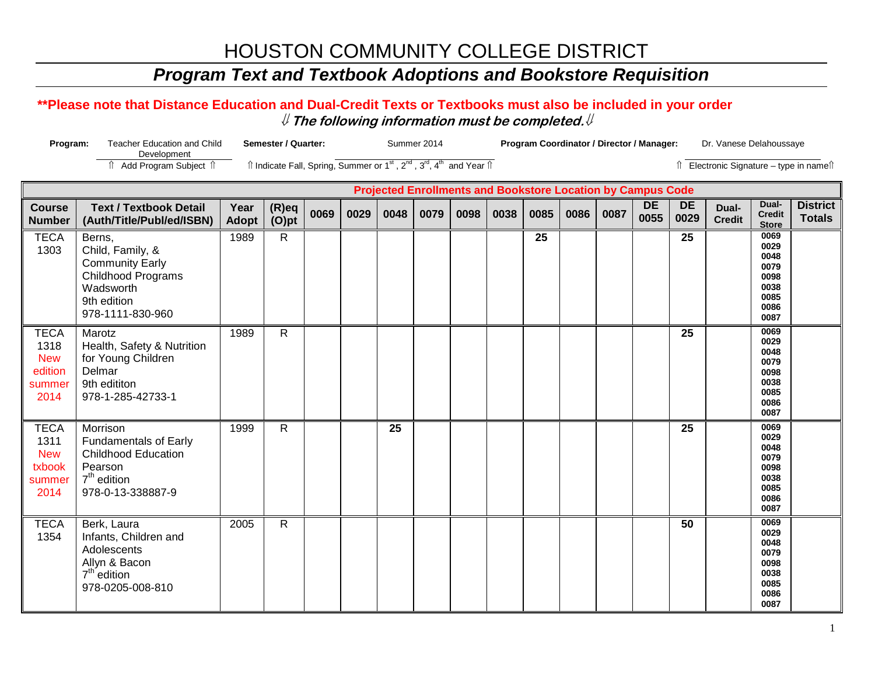## *Program Text and Textbook Adoptions and Bookstore Requisition*

#### **\*\*Please note that Distance Education and Dual-Credit Texts or Textbooks must also be included in your order** ⇓ **The following information must be completed.**⇓

| Program:                                                       | <b>Teacher Education and Child</b><br>Development                                                                                 |                      | <b>Semester / Quarter:</b>                                                                                                          |      |      |      | Summer 2014 |      |                                                                    | Program Coordinator / Director / Manager: |      |      |                   |                   | Dr. Vanese Delahoussaye               |                                                                      |                                  |
|----------------------------------------------------------------|-----------------------------------------------------------------------------------------------------------------------------------|----------------------|-------------------------------------------------------------------------------------------------------------------------------------|------|------|------|-------------|------|--------------------------------------------------------------------|-------------------------------------------|------|------|-------------------|-------------------|---------------------------------------|----------------------------------------------------------------------|----------------------------------|
|                                                                | Add Program Subject 1                                                                                                             |                      | $\hat{I}$ Indicate Fall, Spring, Summer or 1 <sup>st</sup> , 2 <sup>nd</sup> , 3 <sup>rd</sup> , 4 <sup>th</sup> and Year $\hat{I}$ |      |      |      |             |      |                                                                    |                                           |      |      |                   |                   | ↑ Electronic Signature - type in name |                                                                      |                                  |
|                                                                |                                                                                                                                   |                      |                                                                                                                                     |      |      |      |             |      | <b>Projected Enrollments and Bookstore Location by Campus Code</b> |                                           |      |      |                   |                   |                                       |                                                                      |                                  |
| <b>Course</b><br><b>Number</b>                                 | <b>Text / Textbook Detail</b><br>(Auth/Title/Publ/ed/ISBN)                                                                        | Year<br><b>Adopt</b> | $(R)$ eq<br>$(O)$ pt                                                                                                                | 0069 | 0029 | 0048 | 0079        | 0098 | 0038                                                               | 0085                                      | 0086 | 0087 | <b>DE</b><br>0055 | <b>DE</b><br>0029 | Dual-<br><b>Credit</b>                | Dual-<br><b>Credit</b><br><b>Store</b>                               | <b>District</b><br><b>Totals</b> |
| <b>TECA</b><br>1303                                            | Berns,<br>Child, Family, &<br><b>Community Early</b><br><b>Childhood Programs</b><br>Wadsworth<br>9th edition<br>978-1111-830-960 | 1989                 | $\mathsf{R}$                                                                                                                        |      |      |      |             |      |                                                                    | $\overline{25}$                           |      |      |                   | 25                |                                       | 0069<br>0029<br>0048<br>0079<br>0098<br>0038<br>0085<br>0086<br>0087 |                                  |
| <b>TECA</b><br>1318<br><b>New</b><br>edition<br>summer<br>2014 | Marotz<br>Health, Safety & Nutrition<br>for Young Children<br>Delmar<br>9th edititon<br>978-1-285-42733-1                         | 1989                 | $\mathsf{R}$                                                                                                                        |      |      |      |             |      |                                                                    |                                           |      |      |                   | $\overline{25}$   |                                       | 0069<br>0029<br>0048<br>0079<br>0098<br>0038<br>0085<br>0086<br>0087 |                                  |
| <b>TECA</b><br>1311<br><b>New</b><br>txbook<br>summer<br>2014  | Morrison<br><b>Fundamentals of Early</b><br><b>Childhood Education</b><br>Pearson<br>$7th$ edition<br>978-0-13-338887-9           | 1999                 | $\mathsf{R}$                                                                                                                        |      |      | 25   |             |      |                                                                    |                                           |      |      |                   | 25                |                                       | 0069<br>0029<br>0048<br>0079<br>0098<br>0038<br>0085<br>0086<br>0087 |                                  |
| <b>TECA</b><br>1354                                            | Berk, Laura<br>Infants, Children and<br>Adolescents<br>Allyn & Bacon<br>$7th$ edition<br>978-0205-008-810                         | 2005                 | $\mathsf{R}$                                                                                                                        |      |      |      |             |      |                                                                    |                                           |      |      |                   | 50                |                                       | 0069<br>0029<br>0048<br>0079<br>0098<br>0038<br>0085<br>0086<br>0087 |                                  |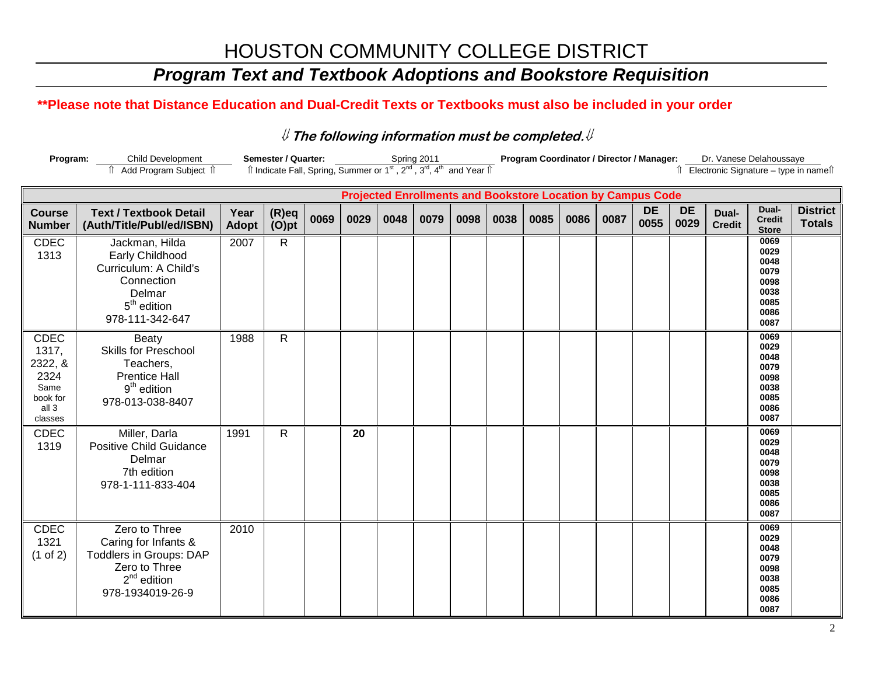## *Program Text and Textbook Adoptions and Bookstore Requisition*

### **\*\*Please note that Distance Education and Dual-Credit Texts or Textbooks must also be included in your order**

| Program: | Child Development                | Semester / Quarter: | Spring 2011                                                                                                                                         | <b>Program Coordinator / Director / Manager:</b> | Dr. Vanese Delahoussaye                                 |
|----------|----------------------------------|---------------------|-----------------------------------------------------------------------------------------------------------------------------------------------------|--------------------------------------------------|---------------------------------------------------------|
|          | Add Program Subject <sup>?</sup> |                     | $\hat{\parallel}$ Indicate Fall, Spring, Summer or 1 <sup>st</sup> , 2 <sup>nd</sup> , 3 <sup>rd</sup> , 4 <sup>th</sup> and Year $\hat{\parallel}$ |                                                  | $\hat{v}$ Electronic Signature – type in name $\hat{v}$ |

|                                                                                 |                                                                                                                               |                      |                      |      |      |      |      | <b>Projected Enrollments and Bookstore Location by Campus Code</b> |      |      |      |      |                   |                   |                        |                                                                      |                                  |
|---------------------------------------------------------------------------------|-------------------------------------------------------------------------------------------------------------------------------|----------------------|----------------------|------|------|------|------|--------------------------------------------------------------------|------|------|------|------|-------------------|-------------------|------------------------|----------------------------------------------------------------------|----------------------------------|
| <b>Course</b><br><b>Number</b>                                                  | <b>Text / Textbook Detail</b><br>(Auth/Title/Publ/ed/ISBN)                                                                    | Year<br><b>Adopt</b> | $(R)$ eq<br>$(O)$ pt | 0069 | 0029 | 0048 | 0079 | 0098                                                               | 0038 | 0085 | 0086 | 0087 | <b>DE</b><br>0055 | <b>DE</b><br>0029 | Dual-<br><b>Credit</b> | Dual-<br><b>Credit</b><br><b>Store</b>                               | <b>District</b><br><b>Totals</b> |
| <b>CDEC</b><br>1313                                                             | Jackman, Hilda<br>Early Childhood<br>Curriculum: A Child's<br>Connection<br>Delmar<br>$5th$ edition<br>978-111-342-647        | 2007                 | $\mathsf{R}$         |      |      |      |      |                                                                    |      |      |      |      |                   |                   |                        | 0069<br>0029<br>0048<br>0079<br>0098<br>0038<br>0085<br>0086<br>0087 |                                  |
| <b>CDEC</b><br>1317,<br>2322, &<br>2324<br>Same<br>book for<br>all 3<br>classes | <b>Beaty</b><br><b>Skills for Preschool</b><br>Teachers,<br><b>Prentice Hall</b><br>$9th$ edition<br>978-013-038-8407         | 1988                 | $\mathsf{R}$         |      |      |      |      |                                                                    |      |      |      |      |                   |                   |                        | 0069<br>0029<br>0048<br>0079<br>0098<br>0038<br>0085<br>0086<br>0087 |                                  |
| <b>CDEC</b><br>1319                                                             | Miller, Darla<br><b>Positive Child Guidance</b><br>Delmar<br>7th edition<br>978-1-111-833-404                                 | 1991                 | $\mathsf{R}$         |      | 20   |      |      |                                                                    |      |      |      |      |                   |                   |                        | 0069<br>0029<br>0048<br>0079<br>0098<br>0038<br>0085<br>0086<br>0087 |                                  |
| <b>CDEC</b><br>1321<br>$(1$ of 2)                                               | Zero to Three<br>Caring for Infants &<br><b>Toddlers in Groups: DAP</b><br>Zero to Three<br>$2nd$ edition<br>978-1934019-26-9 | 2010                 |                      |      |      |      |      |                                                                    |      |      |      |      |                   |                   |                        | 0069<br>0029<br>0048<br>0079<br>0098<br>0038<br>0085<br>0086<br>0087 |                                  |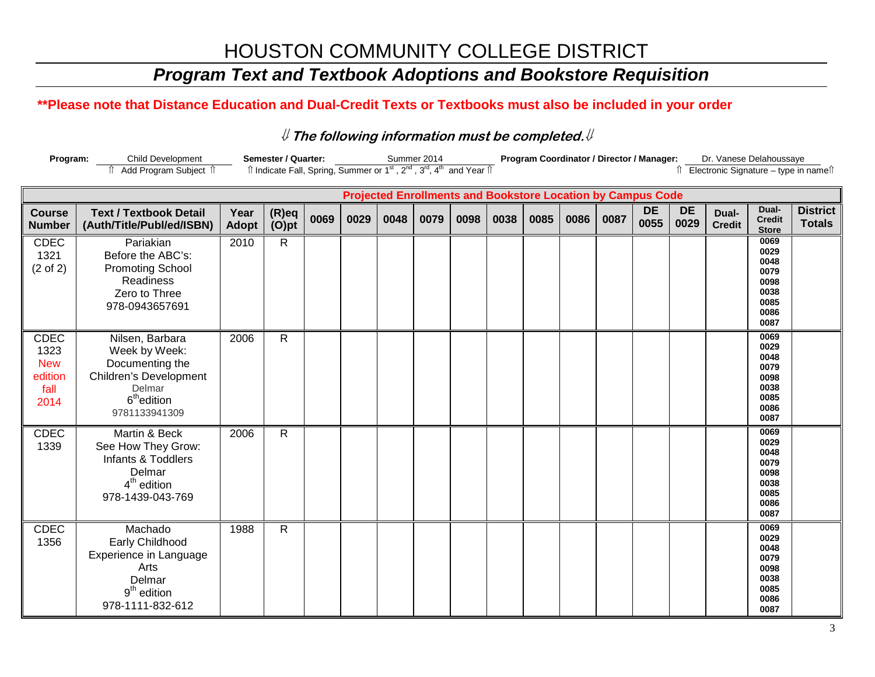## *Program Text and Textbook Adoptions and Bookstore Requisition*

### **\*\*Please note that Distance Education and Dual-Credit Texts or Textbooks must also be included in your order**

| Program: | <b>Child Development</b>           | Semester / Quarter: | Summer 2014                                                                                                                                         | <b>Program Coordinator / Director / Manager:</b> | Dr. Vanese Delahoussave              |
|----------|------------------------------------|---------------------|-----------------------------------------------------------------------------------------------------------------------------------------------------|--------------------------------------------------|--------------------------------------|
|          | <sup>1</sup> Add Program Subject 1 |                     | $\hat{\parallel}$ Indicate Fall, Spring, Summer or 1 <sup>st</sup> , 2 <sup>nd</sup> , 3 <sup>rd</sup> , 4 <sup>th</sup> and Year $\hat{\parallel}$ |                                                  | Electronic Signature – type in names |

|                                                              |                                                                                                                                     |                      |                |      |      |      |      |      |      | <b>Projected Enrollments and Bookstore Location by Campus Code</b> |      |      |                   |                   |                        |                                                                      |                                  |
|--------------------------------------------------------------|-------------------------------------------------------------------------------------------------------------------------------------|----------------------|----------------|------|------|------|------|------|------|--------------------------------------------------------------------|------|------|-------------------|-------------------|------------------------|----------------------------------------------------------------------|----------------------------------|
| <b>Course</b><br><b>Number</b>                               | <b>Text / Textbook Detail</b><br>(Auth/Title/Publ/ed/ISBN)                                                                          | Year<br><b>Adopt</b> | (R)eq<br>(O)pt | 0069 | 0029 | 0048 | 0079 | 0098 | 0038 | 0085                                                               | 0086 | 0087 | <b>DE</b><br>0055 | <b>DE</b><br>0029 | Dual-<br><b>Credit</b> | Dual-<br><b>Credit</b><br><b>Store</b>                               | <b>District</b><br><b>Totals</b> |
| CDEC<br>1321<br>$(2 \text{ of } 2)$                          | Pariakian<br>Before the ABC's:<br><b>Promoting School</b><br><b>Readiness</b><br>Zero to Three<br>978-0943657691                    | 2010                 | $\mathsf{R}$   |      |      |      |      |      |      |                                                                    |      |      |                   |                   |                        | 0069<br>0029<br>0048<br>0079<br>0098<br>0038<br>0085<br>0086<br>0087 |                                  |
| <b>CDEC</b><br>1323<br><b>New</b><br>edition<br>fall<br>2014 | Nilsen, Barbara<br>Week by Week:<br>Documenting the<br>Children's Development<br>Delmar<br>6 <sup>th</sup> edition<br>9781133941309 | 2006                 | $\mathsf{R}$   |      |      |      |      |      |      |                                                                    |      |      |                   |                   |                        | 0069<br>0029<br>0048<br>0079<br>0098<br>0038<br>0085<br>0086<br>0087 |                                  |
| <b>CDEC</b><br>1339                                          | Martin & Beck<br>See How They Grow:<br>Infants & Toddlers<br>Delmar<br>$4th$ edition<br>978-1439-043-769                            | 2006                 | $\mathsf{R}$   |      |      |      |      |      |      |                                                                    |      |      |                   |                   |                        | 0069<br>0029<br>0048<br>0079<br>0098<br>0038<br>0085<br>0086<br>0087 |                                  |
| <b>CDEC</b><br>1356                                          | Machado<br>Early Childhood<br>Experience in Language<br>Arts<br>Delmar<br>$9th$ edition<br>978-1111-832-612                         | 1988                 | R              |      |      |      |      |      |      |                                                                    |      |      |                   |                   |                        | 0069<br>0029<br>0048<br>0079<br>0098<br>0038<br>0085<br>0086<br>0087 |                                  |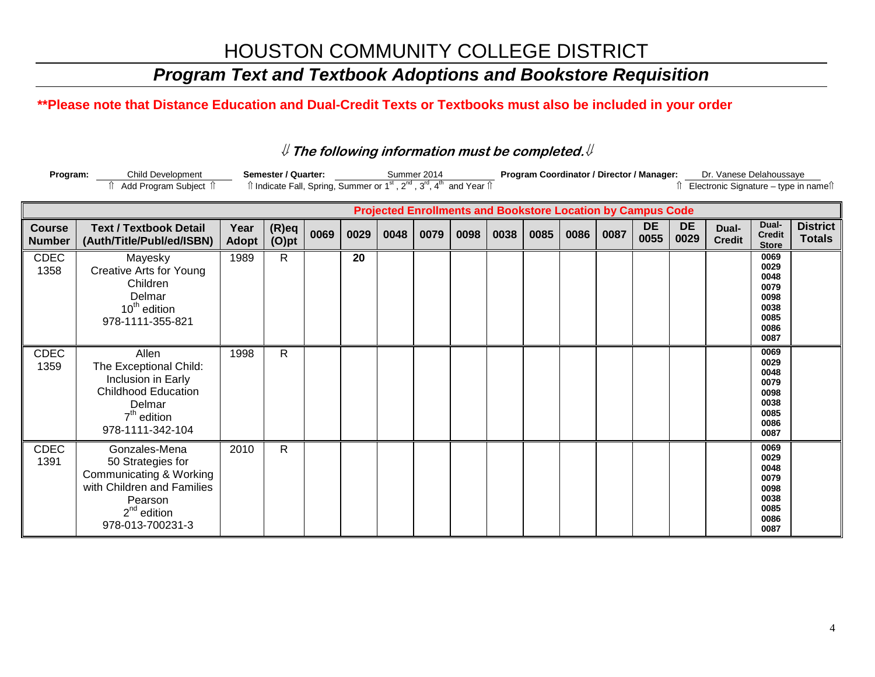## *Program Text and Textbook Adoptions and Bookstore Requisition*

## **\*\*Please note that Distance Education and Dual-Credit Texts or Textbooks must also be included in your order**

| Program:                       | <b>Child Development</b><br>Add Program Subject 1                                                                                              |                      | <b>Semester / Quarter:</b><br>Îl Indicate Fall, Spring, Summer or 1 <sup>st</sup> , 2 <sup>nd</sup> , 3 <sup>rd</sup> , 4 <sup>th</sup> and Year Îl |      |      |                                                                    | Summer 2014 |      |      |      |      | Program Coordinator / Director / Manager: |                   |                   | Dr. Vanese Delahoussaye |                                                                      | Electronic Signature - type in namef |
|--------------------------------|------------------------------------------------------------------------------------------------------------------------------------------------|----------------------|-----------------------------------------------------------------------------------------------------------------------------------------------------|------|------|--------------------------------------------------------------------|-------------|------|------|------|------|-------------------------------------------|-------------------|-------------------|-------------------------|----------------------------------------------------------------------|--------------------------------------|
|                                |                                                                                                                                                |                      |                                                                                                                                                     |      |      | <b>Projected Enrollments and Bookstore Location by Campus Code</b> |             |      |      |      |      |                                           |                   |                   |                         |                                                                      |                                      |
| <b>Course</b><br><b>Number</b> | <b>Text / Textbook Detail</b><br>(Auth/Title/Publ/ed/ISBN)                                                                                     | Year<br><b>Adopt</b> | $(R)$ eq<br>$(O)$ pt                                                                                                                                | 0069 | 0029 | 0048                                                               | 0079        | 0098 | 0038 | 0085 | 0086 | 0087                                      | <b>DE</b><br>0055 | <b>DE</b><br>0029 | Dual-<br><b>Credit</b>  | Dual-<br><b>Credit</b><br><b>Store</b>                               | <b>District</b><br><b>Totals</b>     |
| <b>CDEC</b><br>1358            | Mayesky<br><b>Creative Arts for Young</b><br>Children<br>Delmar<br>10 <sup>th</sup> edition<br>978-1111-355-821                                | 1989                 | $\mathsf{R}$                                                                                                                                        |      | 20   |                                                                    |             |      |      |      |      |                                           |                   |                   |                         | 0069<br>0029<br>0048<br>0079<br>0098<br>0038<br>0085<br>0086<br>0087 |                                      |
| <b>CDEC</b><br>1359            | Allen<br>The Exceptional Child:<br>Inclusion in Early<br><b>Childhood Education</b><br>Delmar<br>$7th$ edition<br>978-1111-342-104             | 1998                 | $\mathsf{R}$                                                                                                                                        |      |      |                                                                    |             |      |      |      |      |                                           |                   |                   |                         | 0069<br>0029<br>0048<br>0079<br>0098<br>0038<br>0085<br>0086<br>0087 |                                      |
| <b>CDEC</b><br>1391            | Gonzales-Mena<br>50 Strategies for<br>Communicating & Working<br>with Children and Families<br>Pearson<br>$2^{nd}$ edition<br>978-013-700231-3 | 2010                 | $\mathsf{R}$                                                                                                                                        |      |      |                                                                    |             |      |      |      |      |                                           |                   |                   |                         | 0069<br>0029<br>0048<br>0079<br>0098<br>0038<br>0085<br>0086<br>0087 |                                      |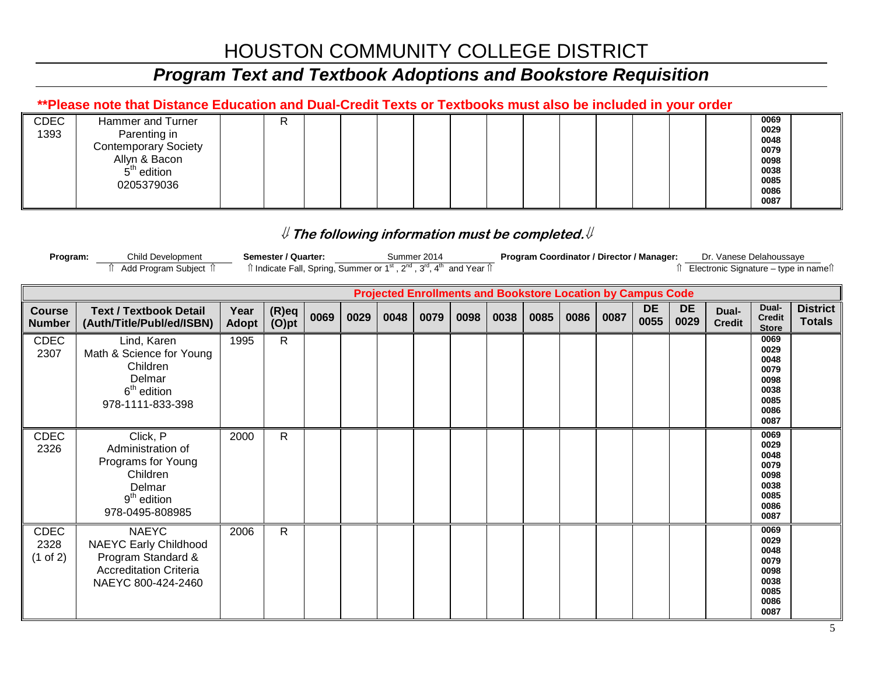## *Program Text and Textbook Adoptions and Bookstore Requisition*

### **\*\*Please note that Distance Education and Dual-Credit Texts or Textbooks must also be included in your order**

| CDEC<br>1393 | Hammer and Turner<br>Parenting in<br><b>Contemporary Society</b><br>Allyn & Bacon<br>$5th$ edition<br>0205379036 | R |  |  |  |  |  |  | 0069<br>0029<br>0048<br>0079<br>0098<br>0038<br>0085 |  |
|--------------|------------------------------------------------------------------------------------------------------------------|---|--|--|--|--|--|--|------------------------------------------------------|--|
|              |                                                                                                                  |   |  |  |  |  |  |  | 0086<br>0087                                         |  |

| Program:                        | Child Development<br>Add Program Subject 1                                                                                |                      | Semester / Quarter:<br>Îl Indicate Fall, Spring, Summer or 1 <sup>st</sup> , 2 <sup>nd</sup> , 3 <sup>rd</sup> , 4 <sup>th</sup> and Year Îl |      |      |      | Summer 2014 |                                                                    |      | Program Coordinator / Director / Manager: |      |      |                   |                   | Dr. Vanese Delahoussaye<br>Î Electronic Signature – type in nameîl |                                                                      |                                  |
|---------------------------------|---------------------------------------------------------------------------------------------------------------------------|----------------------|----------------------------------------------------------------------------------------------------------------------------------------------|------|------|------|-------------|--------------------------------------------------------------------|------|-------------------------------------------|------|------|-------------------|-------------------|--------------------------------------------------------------------|----------------------------------------------------------------------|----------------------------------|
|                                 |                                                                                                                           |                      |                                                                                                                                              |      |      |      |             | <b>Projected Enrollments and Bookstore Location by Campus Code</b> |      |                                           |      |      |                   |                   |                                                                    |                                                                      |                                  |
| <b>Course</b><br><b>Number</b>  | <b>Text / Textbook Detail</b><br>(Auth/Title/Publ/ed/ISBN)                                                                | Year<br><b>Adopt</b> | $(R)$ eq<br>$(O)$ pt                                                                                                                         | 0069 | 0029 | 0048 | 0079        | 0098                                                               | 0038 | 0085                                      | 0086 | 0087 | <b>DE</b><br>0055 | <b>DE</b><br>0029 | Dual-<br><b>Credit</b>                                             | Dual-<br><b>Credit</b><br><b>Store</b>                               | <b>District</b><br><b>Totals</b> |
| <b>CDEC</b><br>2307             | Lind, Karen<br>Math & Science for Young<br>Children<br>Delmar<br>$6th$ edition<br>978-1111-833-398                        | 1995                 | $\mathsf{R}$                                                                                                                                 |      |      |      |             |                                                                    |      |                                           |      |      |                   |                   |                                                                    | 0069<br>0029<br>0048<br>0079<br>0098<br>0038<br>0085<br>0086<br>0087 |                                  |
| CDEC<br>2326                    | Click, P<br>Administration of<br>Programs for Young<br>Children<br>Delmar<br>$9th$ edition<br>978-0495-808985             | 2000                 | $\mathsf{R}$                                                                                                                                 |      |      |      |             |                                                                    |      |                                           |      |      |                   |                   |                                                                    | 0069<br>0029<br>0048<br>0079<br>0098<br>0038<br>0085<br>0086<br>0087 |                                  |
| <b>CDEC</b><br>2328<br>(1 of 2) | <b>NAEYC</b><br><b>NAEYC Early Childhood</b><br>Program Standard &<br><b>Accreditation Criteria</b><br>NAEYC 800-424-2460 | 2006                 | R                                                                                                                                            |      |      |      |             |                                                                    |      |                                           |      |      |                   |                   |                                                                    | 0069<br>0029<br>0048<br>0079<br>0098<br>0038<br>0085<br>0086<br>0087 |                                  |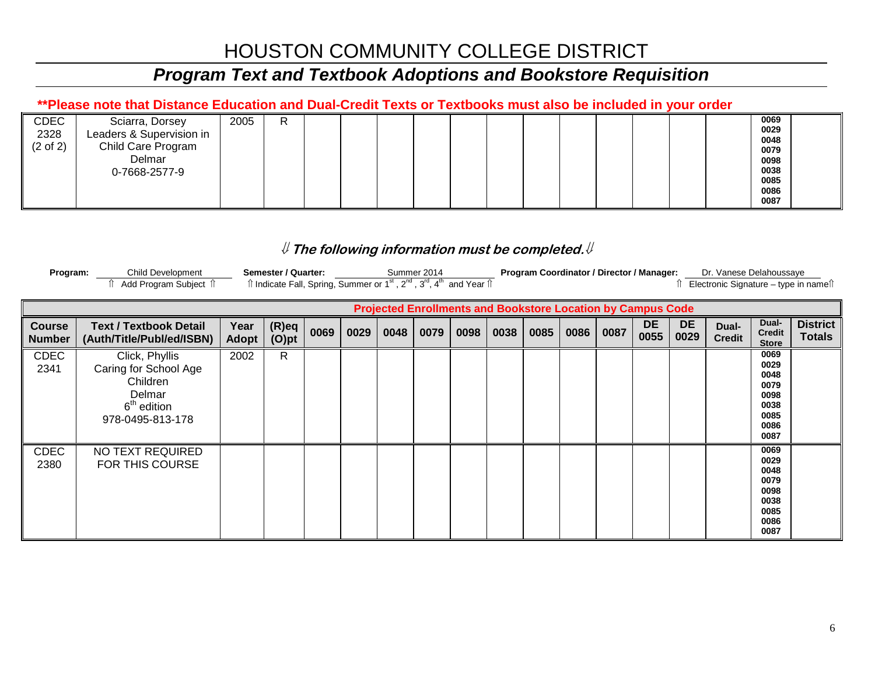## *Program Text and Textbook Adoptions and Bookstore Requisition*

### **\*\*Please note that Distance Education and Dual-Credit Texts or Textbooks must also be included in your order**

| CDEC                | Sciarra, Dorsey          | 2005 | R |  |  |  |  |  |  | 0069 |
|---------------------|--------------------------|------|---|--|--|--|--|--|--|------|
| 2328                | Leaders & Supervision in |      |   |  |  |  |  |  |  | 0029 |
|                     |                          |      |   |  |  |  |  |  |  | 0048 |
| $(2 \text{ of } 2)$ | Child Care Program       |      |   |  |  |  |  |  |  | 0079 |
|                     | Delmar                   |      |   |  |  |  |  |  |  | 0098 |
|                     | 0-7668-2577-9            |      |   |  |  |  |  |  |  | 0038 |
|                     |                          |      |   |  |  |  |  |  |  | 0085 |
|                     |                          |      |   |  |  |  |  |  |  | 0086 |
|                     |                          |      |   |  |  |  |  |  |  | 0087 |
|                     |                          |      |   |  |  |  |  |  |  |      |

| Program: | Child Development   | Semester / Quarter: | Summer 2014                                                                                                                                         | <b>Program Coordinator / Director / Manager:</b> | Dr. Vanese Delahoussave              |
|----------|---------------------|---------------------|-----------------------------------------------------------------------------------------------------------------------------------------------------|--------------------------------------------------|--------------------------------------|
|          | Add Program Subject |                     | $\hat{\parallel}$ Indicate Fall, Spring, Summer or 1 <sup>st</sup> , 2 <sup>nd</sup> , 3 <sup>rd</sup> , 4 <sup>th</sup> and Year $\hat{\parallel}$ |                                                  | Electronic Signature – type in names |

|                                |                                                                                                              |               |                      |      |      |      |      | <b>Projected Enrollments and Bookstore Location by Campus Code</b> |      |      |      |      |                   |                   |                        |                                                                      |                                  |
|--------------------------------|--------------------------------------------------------------------------------------------------------------|---------------|----------------------|------|------|------|------|--------------------------------------------------------------------|------|------|------|------|-------------------|-------------------|------------------------|----------------------------------------------------------------------|----------------------------------|
| <b>Course</b><br><b>Number</b> | <b>Text / Textbook Detail</b><br>(Auth/Title/Publ/ed/ISBN)                                                   | Year<br>Adopt | $(R)$ eq<br>$(O)$ pt | 0069 | 0029 | 0048 | 0079 | 0098                                                               | 0038 | 0085 | 0086 | 0087 | <b>DE</b><br>0055 | <b>DE</b><br>0029 | Dual-<br><b>Credit</b> | Dual-<br><b>Credit</b><br><b>Store</b>                               | <b>District</b><br><b>Totals</b> |
| <b>CDEC</b><br>2341            | Click, Phyllis<br>Caring for School Age<br>Children<br>Delmar<br>6 <sup>th</sup> edition<br>978-0495-813-178 | 2002          | R                    |      |      |      |      |                                                                    |      |      |      |      |                   |                   |                        | 0069<br>0029<br>0048<br>0079<br>0098<br>0038<br>0085<br>0086<br>0087 |                                  |
| <b>CDEC</b><br>2380            | NO TEXT REQUIRED<br>FOR THIS COURSE                                                                          |               |                      |      |      |      |      |                                                                    |      |      |      |      |                   |                   |                        | 0069<br>0029<br>0048<br>0079<br>0098<br>0038<br>0085<br>0086<br>0087 |                                  |